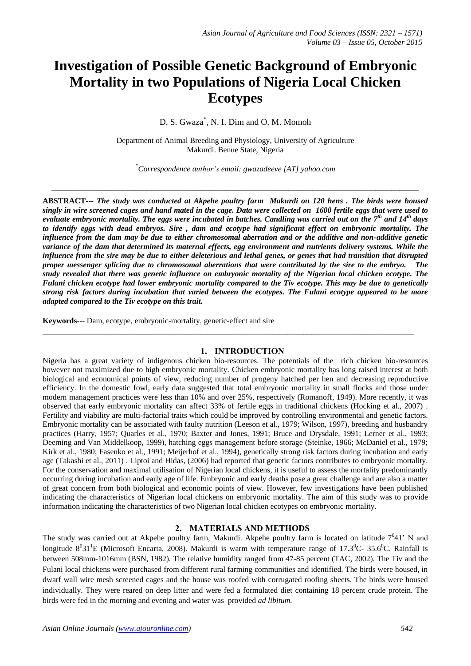# **Investigation of Possible Genetic Background of Embryonic Mortality in two Populations of Nigeria Local Chicken Ecotypes**

# D. S. Gwaza\* , N. I. Dim and O. M. Momoh

Department of Animal Breeding and Physiology, University of Agriculture Makurdi. Benue State, Nigeria

\**Correspondence author's email: gwazadeeve [AT] yahoo.com*

*\_\_\_\_\_\_\_\_\_\_\_\_\_\_\_\_\_\_\_\_\_\_\_\_\_\_\_\_\_\_\_\_\_\_\_\_\_\_\_\_\_\_\_\_\_\_\_\_\_\_\_\_\_\_\_\_\_\_\_\_\_\_\_\_\_\_\_\_\_\_\_\_\_\_\_\_\_\_\_\_\_\_\_\_\_\_\_\_\_\_\_\_\_*

**ABSTRACT---** *The study was conducted at Akpehe poultry farm Makurdi on 120 hens . The birds were housed singly in wire screened cages and hand mated in the cage. Data were collected on 1600 fertile eggs that were used to evaluate embryonic mortality. The eggs were incubated in batches. Candling was carried out on the 7th and 14th days to identify eggs with dead embryos. Sire , dam and ecotype had significant effect on embryonic mortality. The influence from the dam may be due to either chromosomal aberration and or the additive and non-additive genetic variance of the dam that determined its maternal effects, egg environment and nutrients delivery systems. While the influence from the sire may be due to either deleterious and lethal genes, or genes that had transition that disrupted proper messenger splicing due to chromosomal aberrations that were contributed by the sire to the embryo. The study revealed that there was genetic influence on embryonic mortality of the Nigerian local chicken ecotype. The Fulani chicken ecotype had lower embryonic mortality compared to the Tiv ecotype. This may be due to genetically strong risk factors during incubation that varied between the ecotypes. The Fulani ecotype appeared to be more adapted compared to the Tiv ecotype on this trait.*

**Keywords**--- Dam, ecotype, embryonic-mortality, genetic-effect and sire

# **1. INTRODUCTION**

\_\_\_\_\_\_\_\_\_\_\_\_\_\_\_\_\_\_\_\_\_\_\_\_\_\_\_\_\_\_\_\_\_\_\_\_\_\_\_\_\_\_\_\_\_\_\_\_\_\_\_\_\_\_\_\_\_\_\_\_\_\_\_\_\_\_\_\_\_\_\_\_\_\_\_\_\_\_\_\_\_\_\_\_\_\_\_\_\_\_\_\_\_\_

Nigeria has a great variety of indigenous chicken bio-resources. The potentials of the rich chicken bio-resources however not maximized due to high embryonic mortality. Chicken embryonic mortality has long raised interest at both biological and economical points of view, reducing number of progeny hatched per hen and decreasing reproductive efficiency. In the domestic fowl, early data suggested that total embryonic mortality in small flocks and those under modern management practices were less than 10% and over 25%, respectively (Romanoff, 1949). More recently, it was observed that early embryonic mortality can affect 33% of fertile eggs in traditional chickens (Hocking et al., 2007) . Fertility and viability are multi-factorial traits which could be improved by controlling environmental and genetic factors. Embryonic mortality can be associated with faulty nutrition (Leeson et al., 1979; Wilson, 1997), breeding and husbandry practices (Harry, 1957; Quarles et al., 1970; Baxter and Jones, 1991; Bruce and Drysdale, 1991; Lerner et al., 1993; Deeming and Van Middelkoop, 1999), hatching eggs management before storage (Steinke, 1966; McDaniel et al., 1979; Kirk et al., 1980; Fasenko et al., 1991; Meijerhof et al., 1994), genetically strong risk factors during incubation and early age (Takashi et al., 2011) . Liptoi and Hidas, (2006) had reported that genetic factors contributes to embryonic mortality. For the conservation and maximal utilisation of Nigerian local chickens, it is useful to assess the mortality predominantly occurring during incubation and early age of life. Embryonic and early deaths pose a great challenge and are also a matter of great concern from both biological and economic points of view. However, few investigations have been published indicating the characteristics of Nigerian local chickens on embryonic mortality. The aim of this study was to provide information indicating the characteristics of two Nigerian local chicken ecotypes on embryonic mortality.

# **2. MATERIALS AND METHODS**

The study was carried out at Akpehe poultry farm, Makurdi. Akpehe poultry farm is located on latitude  $7^041'$  N and longitude  $8^031^1E$  (Microsoft Encarta, 2008). Makurdi is warm with temperature range of 17.3<sup>0</sup>C- 35.6<sup>0</sup>C. Rainfall is between 508mm-1016mm (BSN, 1982). The relative humidity ranged from 47-85 percent (TAC, 2002). The Tiv and the Fulani local chickens were purchased from different rural farming communities and identified. The birds were housed, in dwarf wall wire mesh screened cages and the house was roofed with corrugated roofing sheets. The birds were housed individually. They were reared on deep litter and were fed a formulated diet containing 18 percent crude protein. The birds were fed in the morning and evening and water was provided *ad libitum.*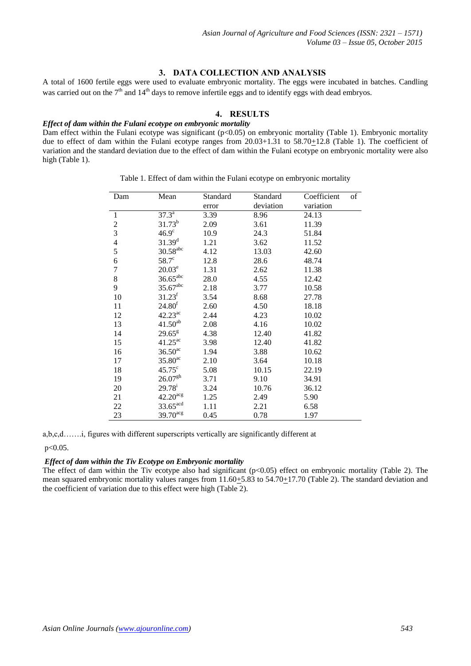# **3. DATA COLLECTION AND ANALYSIS**

A total of 1600 fertile eggs were used to evaluate embryonic mortality. The eggs were incubated in batches. Candling was carried out on the  $7<sup>th</sup>$  and  $14<sup>th</sup>$  days to remove infertile eggs and to identify eggs with dead embryos.

# **4. RESULTS**

## *Effect of dam within the Fulani ecotype on embryonic mortality*

Dam effect within the Fulani ecotype was significant (p<0.05) on embryonic mortality (Table 1). Embryonic mortality due to effect of dam within the Fulani ecotype ranges from 20.03+1.31 to 58.70+12.8 (Table 1). The coefficient of variation and the standard deviation due to the effect of dam within the Fulani ecotype on embryonic mortality were also high (Table 1).

| Dam            | Mean                   | Standard | Standard  | Coefficient | of |
|----------------|------------------------|----------|-----------|-------------|----|
|                |                        | error    | deviation | variation   |    |
| 1              | $37.3^{\circ}$         | 3.39     | 8.96      | 24.13       |    |
| $\overline{c}$ | $31.73^b$              | 2.09     | 3.61      | 11.39       |    |
| $\overline{3}$ | $46.9^\circ$           | 10.9     | 24.3      | 51.84       |    |
| $\overline{4}$ | $31.39^{d}$            | 1.21     | 3.62      | 11.52       |    |
| 5              | $30.58$ <sup>abc</sup> | 4.12     | 13.03     | 42.60       |    |
| 6              | $58.7^\circ$           | 12.8     | 28.6      | 48.74       |    |
| $\overline{7}$ | $20.03^e$              | 1.31     | 2.62      | 11.38       |    |
| 8              | $36.65^{\rm abc}$      | 28.0     | 4.55      | 12.42       |    |
| 9              | $35.67$ <sup>abc</sup> | 2.18     | 3.77      | 10.58       |    |
| 10             | $31.23^f$              | 3.54     | 8.68      | 27.78       |    |
| 11             | 24.80 <sup>f</sup>     | 2.60     | 4.50      | 18.18       |    |
| 12             | $42.23^{ac}$           | 2.44     | 4.23      | 10.02       |    |
| 13             | $41.50^{ab}$           | 2.08     | 4.16      | 10.02       |    |
| 14             | $29.65^{\rm g}$        | 4.38     | 12.40     | 41.82       |    |
| 15             | $41.25^{ac}$           | 3.98     | 12.40     | 41.82       |    |
| 16             | $36.50$ <sup>ac</sup>  | 1.94     | 3.88      | 10.62       |    |
| 17             | $35.80^{\text{ac}}$    | 2.10     | 3.64      | 10.18       |    |
| 18             | $45.75^{\circ}$        | 5.08     | 10.15     | 22.19       |    |
| 19             | 26.07 <sup>gh</sup>    | 3.71     | 9.10      | 34.91       |    |
| 20             | $29.78^{i}$            | 3.24     | 10.76     | 36.12       |    |
| 21             | $42.20$ <sup>acg</sup> | 1.25     | 2.49      | 5.90        |    |
| 22             | $33.65$ <sup>acd</sup> | 1.11     | 2.21      | 6.58        |    |
| 23             | $39.70$ <sup>acg</sup> | 0.45     | 0.78      | 1.97        |    |

Table 1. Effect of dam within the Fulani ecotype on embryonic mortality

a,b,c,d…….i, figures with different superscripts vertically are significantly different at

p<0.05.

# *Effect of dam within the Tiv Ecotype on Embryonic mortality*

The effect of dam within the Tiv ecotype also had significant (p<0.05) effect on embryonic mortality (Table 2). The mean squared embryonic mortality values ranges from  $11.60\pm5.83$  to  $54.70\pm17.70$  (Table 2). The standard deviation and the coefficient of variation due to this effect were high (Table 2).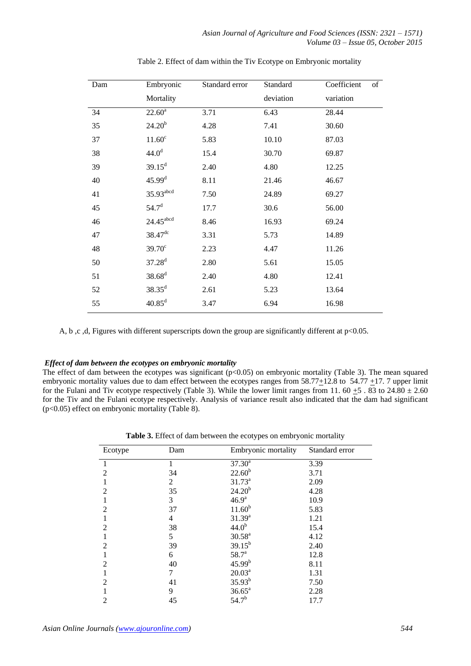| Dam | Embryonic               | Standard error | Standard  | Coefficient<br>of |
|-----|-------------------------|----------------|-----------|-------------------|
|     | Mortality               |                | deviation | variation         |
| 34  | $22.60^{\rm a}$         | 3.71           | 6.43      | 28.44             |
| 35  | $24.20^{b}$             | 4.28           | 7.41      | 30.60             |
| 37  | 11.60 <sup>c</sup>      | 5.83           | 10.10     | 87.03             |
| 38  | 44.0 <sup>d</sup>       | 15.4           | 30.70     | 69.87             |
| 39  | $39.15^{\rm d}$         | 2.40           | 4.80      | 12.25             |
| 40  | 45.99 <sup>d</sup>      | 8.11           | 21.46     | 46.67             |
| 41  | $35.93$ <sup>abcd</sup> | 7.50           | 24.89     | 69.27             |
| 45  | 54.7 <sup>d</sup>       | 17.7           | 30.6      | 56.00             |
| 46  | $24.45$ $\rm ^{abcd}$   | 8.46           | 16.93     | 69.24             |
| 47  | $38.47$ <sup>dc</sup>   | 3.31           | 5.73      | 14.89             |
| 48  | $39.70^{\circ}$         | 2.23           | 4.47      | 11.26             |
| 50  | $37.28^{d}$             | 2.80           | 5.61      | 15.05             |
| 51  | $38.68^{d}$             | 2.40           | 4.80      | 12.41             |
| 52  | $38.35^{\rm d}$         | 2.61           | 5.23      | 13.64             |
| 55  | $40.85^{\rm d}$         | 3.47           | 6.94      | 16.98             |

Table 2. Effect of dam within the Tiv Ecotype on Embryonic mortality

A, b ,c ,d, Figures with different superscripts down the group are significantly different at p<0.05.

# *Effect of dam between the ecotypes on embryonic mortality*

The effect of dam between the ecotypes was significant  $(p<0.05)$  on embryonic mortality (Table 3). The mean squared embryonic mortality values due to dam effect between the ecotypes ranges from 58.77+12.8 to 54.77 +17. 7 upper limit for the Fulani and Tiv ecotype respectively (Table 3). While the lower limit ranges from 11. 60  $\pm$ 5 . 83 to 24.80  $\pm$  2.60 for the Tiv and the Fulani ecotype respectively. Analysis of variance result also indicated that the dam had significant (p<0.05) effect on embryonic mortality (Table 8).

**Table 3.** Effect of dam between the ecotypes on embryonic mortality

| Ecotype                     | Dam | Embryonic mortality | Standard error |
|-----------------------------|-----|---------------------|----------------|
|                             |     | $37.30^a$           | 3.39           |
| $\mathcal{D}_{\mathcal{A}}$ | 34  | $22.60^{b}$         | 3.71           |
|                             | 2   | $31.73^a$           | 2.09           |
| 2                           | 35  | $24.20^{b}$         | 4.28           |
|                             | 3   | 46.9 <sup>a</sup>   | 10.9           |
| $\mathfrak{D}$              | 37  | $11.60^{b}$         | 5.83           |
|                             | 4   | $31.39^{a}$         | 1.21           |
| 2                           | 38  | $44.0^{b}$          | 15.4           |
|                             | 5   | $30.58^{a}$         | 4.12           |
| $\mathfrak{D}$              | 39  | $39.15^{b}$         | 2.40           |
|                             | 6   | $58.7^{\circ}$      | 12.8           |
| 2                           | 40  | $45.99^{b}$         | 8.11           |
|                             | 7   | $20.03^a$           | 1.31           |
| $\mathfrak{D}$              | 41  | $35.93^{b}$         | 7.50           |
|                             | 9   | $36.65^{\rm a}$     | 2.28           |
|                             | 45  | $54.7^{b}$          | 17.7           |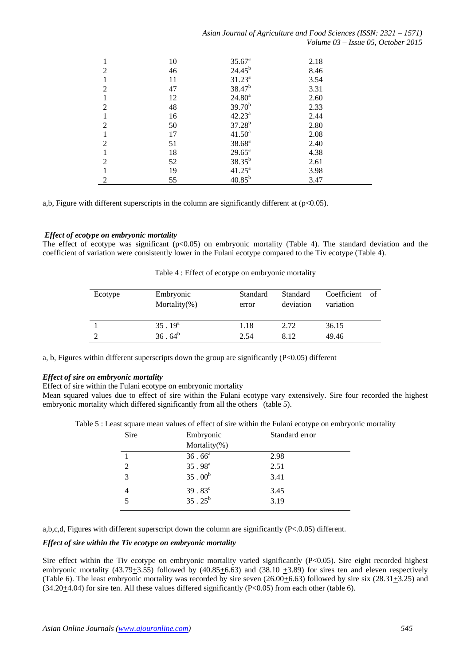| Asian Journal of Agriculture and Food Sciences (ISSN: 2321 – 1571) |                                      |  |  |
|--------------------------------------------------------------------|--------------------------------------|--|--|
|                                                                    | Volume $03$ – Issue 05, October 2015 |  |  |

|                | 10 | $35.67^{\rm a}$    | 2.18 |  |
|----------------|----|--------------------|------|--|
| $\mathfrak{D}$ | 46 | $24.45^{b}$        | 8.46 |  |
|                | 11 | $31.23^a$          | 3.54 |  |
| $\mathfrak{D}$ | 47 | $38.47^b$          | 3.31 |  |
|                | 12 | $24.80^a$          | 2.60 |  |
| $\mathfrak{D}$ | 48 | $39.70^{b}$        | 2.33 |  |
|                | 16 | $42.23^a$          | 2.44 |  |
| $\mathfrak{D}$ | 50 | $37.28^{b}$        | 2.80 |  |
|                | 17 | $41.50^a$          | 2.08 |  |
| $\mathfrak{D}$ | 51 | $38.68^{a}$        | 2.40 |  |
|                | 18 | $29.65^{\text{a}}$ | 4.38 |  |
| $\mathfrak{D}$ | 52 | $38.35^{b}$        | 2.61 |  |
|                | 19 | $41.25^{\circ}$    | 3.98 |  |
| 2              | 55 | $40.85^{b}$        | 3.47 |  |

a,b, Figure with different superscripts in the column are significantly different at (p<0.05).

# *Effect of ecotype on embryonic mortality*

The effect of ecotype was significant  $(p<0.05)$  on embryonic mortality (Table 4). The standard deviation and the coefficient of variation were consistently lower in the Fulani ecotype compared to the Tiv ecotype (Table 4).

| Table 4 : Effect of ecotype on embryonic mortality |  |
|----------------------------------------------------|--|
|----------------------------------------------------|--|

| Ecotype | Embryonic<br>Mortality $(\%)$ | Standard<br>error | Standard<br>deviation | Coefficient<br>variation | of |
|---------|-------------------------------|-------------------|-----------------------|--------------------------|----|
|         | $35.19^{a}$                   | 1.18              | 2.72                  | 36.15                    |    |
|         | $36.64^{b}$                   | 2.54              | 8.12                  | 49.46                    |    |

a, b, Figures within different superscripts down the group are significantly (P<0.05) different

# *Effect of sire on embryonic mortality*

Effect of sire within the Fulani ecotype on embryonic mortality

Mean squared values due to effect of sire within the Fulani ecotype vary extensively. Sire four recorded the highest embryonic mortality which differed significantly from all the others (table 5).

|  |  |  | Table 5 : Least square mean values of effect of sire within the Fulani ecotype on embryonic mortality |  |
|--|--|--|-------------------------------------------------------------------------------------------------------|--|
|  |  |  |                                                                                                       |  |

| Sire                        | Embryonic        | Standard error |
|-----------------------------|------------------|----------------|
|                             | Mortality $(\%)$ |                |
|                             | $36.66^a$        | 2.98           |
| $\mathcal{D}_{\mathcal{L}}$ | $35.98^{a}$      | 2.51           |
| 3                           | $35.00^{b}$      | 3.41           |
|                             | $39.83^c$        | 3.45           |
|                             | $35.25^b$        | 3.19           |

a,b,c,d, Figures with different superscript down the column are significantly (P<.0.05) different.

# *Effect of sire within the Tiv ecotype on embryonic mortality*

Sire effect within the Tiv ecotype on embryonic mortality varied significantly (P<0.05). Sire eight recorded highest embryonic mortality (43.79 $\pm$ 3.55) followed by (40.85 $\pm$ 6.63) and (38.10  $\pm$ 3.89) for sires ten and eleven respectively (Table 6). The least embryonic mortality was recorded by sire seven (26.00+6.63) followed by sire six (28.31+3.25) and  $(34.20\pm4.04)$  for sire ten. All these values differed significantly  $(P<0.05)$  from each other (table 6).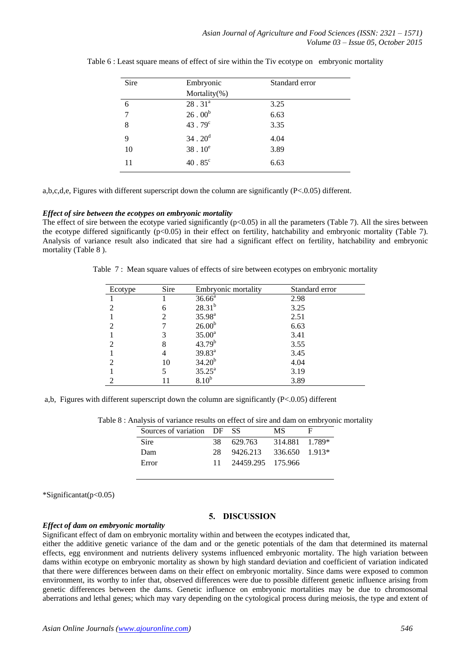| Sire | Embryonic       | Standard error |
|------|-----------------|----------------|
|      | Mortality(%)    |                |
| 6    | $28.31^{a}$     | 3.25           |
| 7    | $26 \cdot 00^b$ | 6.63           |
| 8    | $43.79^c$       | 3.35           |
| 9    | $34.20^d$       | 4.04           |
| 10   | $38.10^e$       | 3.89           |
| 11   | $40.85^{\circ}$ | 6.63           |

Table 6 : Least square means of effect of sire within the Tiv ecotype on embryonic mortality

a,b,c,d,e, Figures with different superscript down the column are significantly (P<.0.05) different.

#### *Effect of sire between the ecotypes on embryonic mortality*

The effect of sire between the ecotype varied significantly  $(p<0.05)$  in all the parameters (Table 7). All the sires between the ecotype differed significantly (p<0.05) in their effect on fertility, hatchability and embryonic mortality (Table 7). Analysis of variance result also indicated that sire had a significant effect on fertility, hatchability and embryonic mortality (Table 8 ).

Table 7 : Mean square values of effects of sire between ecotypes on embryonic mortality

| Ecotype        | Sire | Embryonic mortality | Standard error |
|----------------|------|---------------------|----------------|
|                |      | $36.66^a$           | 2.98           |
| っ              | 6    | $28.31^{b}$         | 3.25           |
|                |      | $35.98^{a}$         | 2.51           |
| っ              |      | 26.00 <sup>b</sup>  | 6.63           |
|                |      | $35.00^a$           | 3.41           |
| っ              |      | $43.79^{b}$         | 3.55           |
|                |      | $39.83^{a}$         | 3.45           |
| $\mathfrak{D}$ | 10   | $34.20^{b}$         | 4.04           |
|                |      | $35.25^{\rm a}$     | 3.19           |
| っ              |      | 8.10 <sup>b</sup>   | 3.89           |

a,b, Figures with different superscript down the column are significantly (P<.0.05) different

| Sources of variation DF SS |     |                         | МS             |  |
|----------------------------|-----|-------------------------|----------------|--|
| <b>Sire</b>                | 38. | 629.763                 | 314.881 1.789* |  |
| Dam                        | 28  | 9426.213 336.650 1.913* |                |  |
| Error                      |     | 24459.295 175.966       |                |  |

| Table 8 : Analysis of variance results on effect of sire and dam on embryonic mortality |  |
|-----------------------------------------------------------------------------------------|--|
|-----------------------------------------------------------------------------------------|--|

\*Significantat(p<0.05)

# **5. DISCUSSION**

## *Effect of dam on embryonic mortality*

Significant effect of dam on embryonic mortality within and between the ecotypes indicated that,

either the additive genetic variance of the dam and or the genetic potentials of the dam that determined its maternal effects, egg environment and nutrients delivery systems influenced embryonic mortality. The high variation between dams within ecotype on embryonic mortality as shown by high standard deviation and coefficient of variation indicated that there were differences between dams on their effect on embryonic mortality. Since dams were exposed to common environment, its worthy to infer that, observed differences were due to possible different genetic influence arising from genetic differences between the dams. Genetic influence on embryonic mortalities may be due to chromosomal aberrations and lethal genes; which may vary depending on the cytological process during meiosis, the type and extent of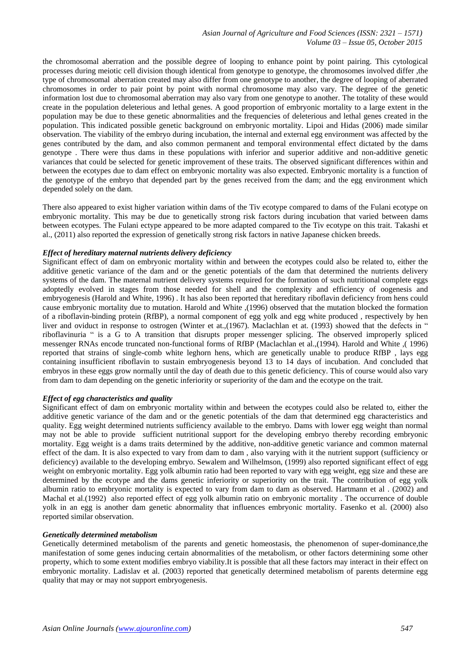the chromosomal aberration and the possible degree of looping to enhance point by point pairing. This cytological processes during meiotic cell division though identical from genotype to genotype, the chromosomes involved differ ,the type of chromosomal aberration created may also differ from one genotype to another, the degree of looping of aberrated chromosomes in order to pair point by point with normal chromosome may also vary. The degree of the genetic information lost due to chromosomal aberration may also vary from one genotype to another. The totality of these would create in the population deleterious and lethal genes. A good proportion of embryonic mortality to a large extent in the population may be due to these genetic abnormalities and the frequencies of deleterious and lethal genes created in the population. This indicated possible genetic background on embryonic mortality. Lipoi and Hidas (2006) made similar observation. The viability of the embryo during incubation, the internal and external egg environment was affected by the genes contributed by the dam, and also common permanent and temporal environmental effect dictated by the dams genotype . There were thus dams in these populations with inferior and superior additive and non-additive genetic variances that could be selected for genetic improvement of these traits. The observed significant differences within and between the ecotypes due to dam effect on embryonic mortality was also expected. Embryonic mortality is a function of the genotype of the embryo that depended part by the genes received from the dam; and the egg environment which depended solely on the dam.

There also appeared to exist higher variation within dams of the Tiv ecotype compared to dams of the Fulani ecotype on embryonic mortality. This may be due to genetically strong risk factors during incubation that varied between dams between ecotypes. The Fulani ectype appeared to be more adapted compared to the Tiv ecotype on this trait. Takashi et al., (2011) also reported the expression of genetically strong risk factors in native Japanese chicken breeds.

# *Effect of hereditary maternal nutrients delivery deficiency*

Significant effect of dam on embryonic mortality within and between the ecotypes could also be related to, either the additive genetic variance of the dam and or the genetic potentials of the dam that determined the nutrients delivery systems of the dam. The maternal nutrient delivery systems required for the formation of such nutritional complete eggs adoptedly evolved in stages from those needed for shell and the complexity and efficiency of oogenesis and embryogenesis (Harold and White, 1996) . It has also been reported that hereditary riboflavin deficiency from hens could cause embryonic mortality due to mutation. Harold and White ,(1996) observed that the mutation blocked the formation of a riboflavin-binding protein (RfBP), a normal component of egg yolk and egg white produced , respectively by hen liver and oviduct in response to ostrogen (Winter et at.,(1967). Maclachlan et at. (1993) showed that the defects in " riboflavinuria " is a G to A transition that disrupts proper messenger splicing. The observed improperly spliced messenger RNAs encode truncated non-functional forms of RfBP (Maclachlan et al.,(1994). Harold and White ,( 1996) reported that strains of single-comb white leghorn hens, which are genetically unable to produce RfBP , lays egg containing insufficient riboflavin to sustain embryogenesis beyond 13 to 14 days of incubation. And concluded that embryos in these eggs grow normally until the day of death due to this genetic deficiency. This of course would also vary from dam to dam depending on the genetic inferiority or superiority of the dam and the ecotype on the trait.

# *Effect of egg characteristics and quality*

Significant effect of dam on embryonic mortality within and between the ecotypes could also be related to, either the additive genetic variance of the dam and or the genetic potentials of the dam that determined egg characteristics and quality. Egg weight determined nutrients sufficiency available to the embryo. Dams with lower egg weight than normal may not be able to provide sufficient nutritional support for the developing embryo thereby recording embryonic mortality. Egg weight is a dams traits determined by the additive, non-additive genetic variance and common maternal effect of the dam. It is also expected to vary from dam to dam , also varying with it the nutrient support (sufficiency or deficiency) available to the developing embryo. Sewalem and Wilhelmson, (1999) also reported significant effect of egg weight on embryonic mortality. Egg yolk albumin ratio had been reported to vary with egg weight, egg size and these are determined by the ecotype and the dams genetic inferiority or superiority on the trait. The contribution of egg yolk albumin ratio to embryonic mortality is expected to vary from dam to dam as observed. Hartmann et al . (2002) and Machal et al.(1992) also reported effect of egg yolk albumin ratio on embryonic mortality . The occurrence of double yolk in an egg is another dam genetic abnormality that influences embryonic mortality. Fasenko et al. (2000) also reported similar observation.

### *Genetically determined metabolism*

Genetically determined metabolism of the parents and genetic homeostasis, the phenomenon of super-dominance,the manifestation of some genes inducing certain abnormalities of the metabolism, or other factors determining some other property, which to some extent modifies embryo viability.It is possible that all these factors may interact in their effect on embryonic mortality. Ladislav et al. (2003) reported that genetically determined metabolism of parents determine egg quality that may or may not support embryogenesis.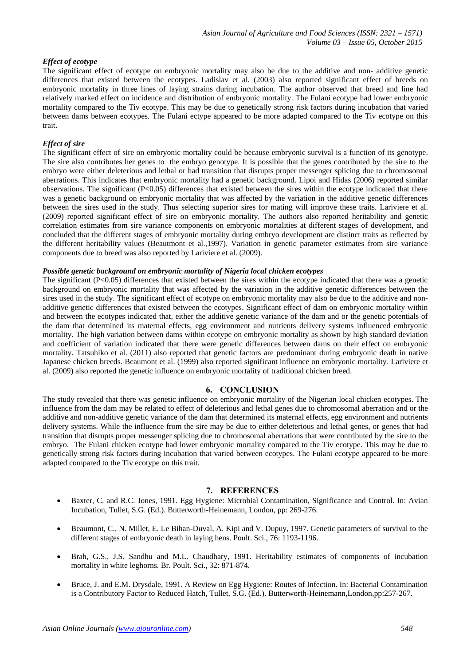# *Effect of ecotype*

The significant effect of ecotype on embryonic mortality may also be due to the additive and non- additive genetic differences that existed between the ecotypes. Ladislav et al. (2003) also reported significant effect of breeds on embryonic mortality in three lines of laying strains during incubation. The author observed that breed and line had relatively marked effect on incidence and distribution of embryonic mortality. The Fulani ecotype had lower embryonic mortality compared to the Tiv ecotype. This may be due to genetically strong risk factors during incubation that varied between dams between ecotypes. The Fulani ectype appeared to be more adapted compared to the Tiv ecotype on this trait.

# *Effect of sire*

The significant effect of sire on embryonic mortality could be because embryonic survival is a function of its genotype. The sire also contributes her genes to the embryo genotype. It is possible that the genes contributed by the sire to the embryo were either deleterious and lethal or had transition that disrupts proper messenger splicing due to chromosomal aberrations. This indicates that embryonic mortality had a genetic background. Lipoi and Hidas (2006) reported similar observations. The significant  $(P<0.05)$  differences that existed between the sires within the ecotype indicated that there was a genetic background on embryonic mortality that was affected by the variation in the additive genetic differences between the sires used in the study. Thus selecting superior sires for mating will improve these traits. Lariviere et al. (2009) reported significant effect of sire on embryonic mortality. The authors also reported heritability and genetic correlation estimates from sire variance components on embryonic mortalities at different stages of development, and concluded that the different stages of embryonic mortality during embryo development are distinct traits as reflected by the different heritability values (Beautmont et al.,1997). Variation in genetic parameter estimates from sire variance components due to breed was also reported by Lariviere et al. (2009).

# *Possible genetic background on embryonic mortality of Nigeria local chicken ecotypes*

The significant (P<0.05) differences that existed between the sires within the ecotype indicated that there was a genetic background on embryonic mortality that was affected by the variation in the additive genetic differences between the sires used in the study. The significant effect of ecotype on embryonic mortality may also be due to the additive and nonadditive genetic differences that existed between the ecotypes. Significant effect of dam on embryonic mortality within and between the ecotypes indicated that, either the additive genetic variance of the dam and or the genetic potentials of the dam that determined its maternal effects, egg environment and nutrients delivery systems influenced embryonic mortality. The high variation between dams within ecotype on embryonic mortality as shown by high standard deviation and coefficient of variation indicated that there were genetic differences between dams on their effect on embryonic mortality. Tatsuhiko et al. (2011) also reported that genetic factors are predominant during embryonic death in native Japanese chicken breeds. Beaumont et al. (1999) also reported significant influence on embryonic mortality. Lariviere et al. (2009) also reported the genetic influence on embryonic mortality of traditional chicken breed.

# **6. CONCLUSION**

The study revealed that there was genetic influence on embryonic mortality of the Nigerian local chicken ecotypes. The influence from the dam may be related to effect of deleterious and lethal genes due to chromosomal aberration and or the additive and non-additive genetic variance of the dam that determined its maternal effects, egg environment and nutrients delivery systems. While the influence from the sire may be due to either deleterious and lethal genes, or genes that had transition that disrupts proper messenger splicing due to chromosomal aberrations that were contributed by the sire to the embryo. The Fulani chicken ecotype had lower embryonic mortality compared to the Tiv ecotype. This may be due to genetically strong risk factors during incubation that varied between ecotypes. The Fulani ecotype appeared to be more adapted compared to the Tiv ecotype on this trait.

# **7. REFERENCES**

- Baxter, C. and R.C. Jones, 1991. Egg Hygiene: Microbial Contamination, Significance and Control. In: Avian Incubation, Tullet, S.G. (Ed.). Butterworth-Heinemann, London, pp: 269-276.
- Beaumont, C., N. Millet, E. Le Bihan-Duval, A. Kipi and V. Dupuy, 1997. Genetic parameters of survival to the different stages of embryonic death in laying hens. Poult. Sci., 76: 1193-1196.
- Brah, G.S., J.S. Sandhu and M.L. Chaudhary, 1991. Heritability estimates of components of incubation mortality in white leghorns. Br. Poult. Sci., 32: 871-874.
- Bruce, J. and E.M. Drysdale, 1991. A Review on Egg Hygiene: Routes of Infection. In: Bacterial Contamination is a Contributory Factor to Reduced Hatch, Tullet, S.G. (Ed.). Butterworth-Heinemann,London,pp:257-267.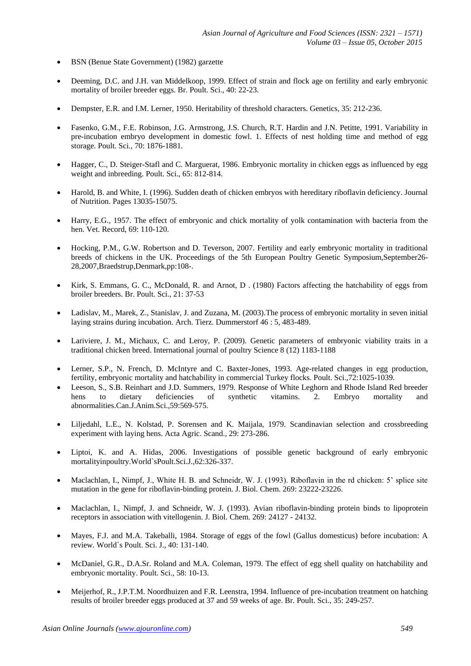- BSN (Benue State Government) (1982) garzette
- Deeming, D.C. and J.H. van Middelkoop, 1999. Effect of strain and flock age on fertility and early embryonic mortality of broiler breeder eggs. Br. Poult. Sci., 40: 22-23.
- Dempster, E.R. and I.M. Lerner, 1950. Heritability of threshold characters. Genetics, 35: 212-236.
- Fasenko, G.M., F.E. Robinson, J.G. Armstrong, J.S. Church, R.T. Hardin and J.N. Petitte, 1991. Variability in pre-incubation embryo development in domestic fowl. 1. Effects of nest holding time and method of egg storage. Poult. Sci., 70: 1876-1881.
- Hagger, C., D. Steiger-Stafl and C. Marguerat, 1986. Embryonic mortality in chicken eggs as influenced by egg weight and inbreeding. Poult. Sci., 65: 812-814.
- Harold, B. and White, I. (1996). Sudden death of chicken embryos with hereditary riboflavin deficiency. Journal of Nutrition. Pages 13035-15075.
- Harry, E.G., 1957. The effect of embryonic and chick mortality of yolk contamination with bacteria from the hen. Vet. Record, 69: 110-120.
- Hocking, P.M., G.W. Robertson and D. Teverson, 2007. Fertility and early embryonic mortality in traditional breeds of chickens in the UK. Proceedings of the 5th European Poultry Genetic Symposium,September26- 28,2007,Braedstrup,Denmark,pp:108-.
- Kirk, S. Emmans, G. C., McDonald, R. and Arnot, D . (1980) Factors affecting the hatchability of eggs from broiler breeders. Br. Poult. Sci., 21: 37-53
- Ladislav, M., Marek, Z., Stanislav, J. and Zuzana, M. (2003).The process of embryonic mortality in seven initial laying strains during incubation. Arch. Tierz. Dummerstorf 46 : 5, 483-489.
- Lariviere, J. M., Michaux, C. and Leroy, P. (2009). Genetic parameters of embryonic viability traits in a traditional chicken breed. International journal of poultry Science 8 (12) 1183-1188
- Lerner, S.P., N. French, D. McIntyre and C. Baxter-Jones, 1993. Age-related changes in egg production, fertility, embryonic mortality and hatchability in commercial Turkey flocks. Poult. Sci.,72:1025-1039.
- Leeson, S., S.B. Reinhart and J.D. Summers, 1979. Response of White Leghorn and Rhode Island Red breeder hens to dietary deficiencies of synthetic vitamins. 2. Embryo mortality and hens to dietary deficiencies of synthetic vitamins. 2. Embryo mortality and abnormalities.Can.J.Anim.Sci.,59:569-575.
- Liljedahl, L.E., N. Kolstad, P. Sorensen and K. Maijala, 1979. Scandinavian selection and crossbreeding experiment with laying hens. Acta Agric. Scand., 29: 273-286.
- Liptoi, K. and A. Hidas, 2006. Investigations of possible genetic background of early embryonic mortalityinpoultry.World`sPoult.Sci.J.,62:326-337.
- Maclachlan, I., Nimpf, J., White H. B. and Schneidr, W. J. (1993). Riboflavin in the rd chicken: 5' splice site mutation in the gene for riboflavin-binding protein. J. Biol. Chem. 269: 23222-23226.
- Maclachlan, I., Nimpf, J. and Schneidr, W. J. (1993). Avian riboflavin-binding protein binds to lipoprotein receptors in association with vitellogenin. J. Biol. Chem. 269: 24127 - 24132.
- Mayes, F.J. and M.A. Takeballi, 1984. Storage of eggs of the fowl (Gallus domesticus) before incubation: A review. World`s Poult. Sci. J., 40: 131-140.
- McDaniel, G.R., D.A.Sr. Roland and M.A. Coleman, 1979. The effect of egg shell quality on hatchability and embryonic mortality. Poult. Sci., 58: 10-13.
- Meijerhof, R., J.P.T.M. Noordhuizen and F.R. Leenstra, 1994. Influence of pre-incubation treatment on hatching results of broiler breeder eggs produced at 37 and 59 weeks of age. Br. Poult. Sci., 35: 249-257.